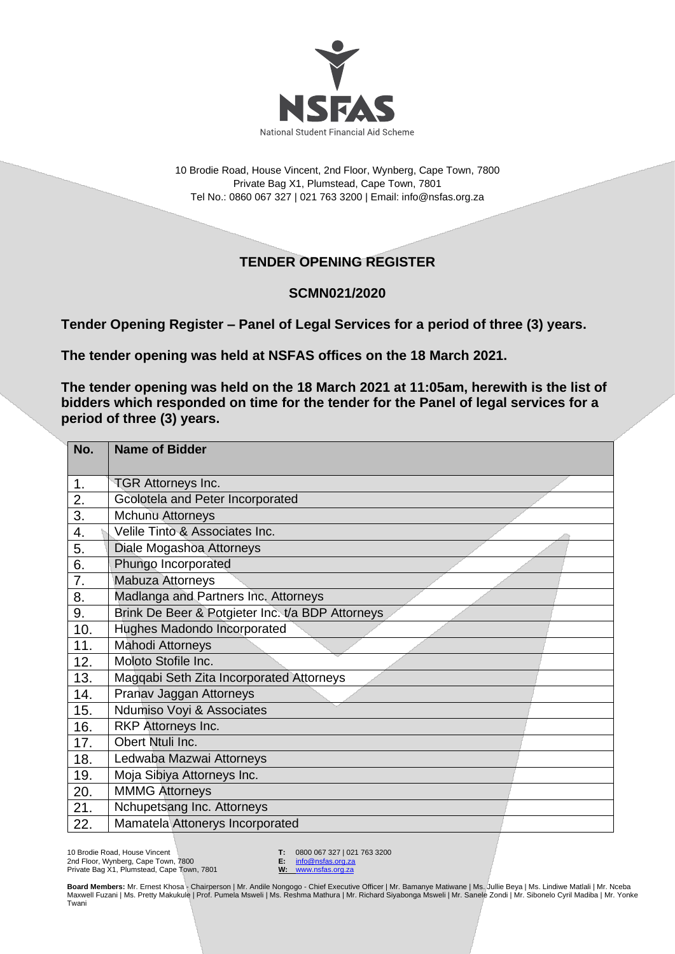

10 Brodie Road, House Vincent, 2nd Floor, Wynberg, Cape Town, 7800 Private Bag X1, Plumstead, Cape Town, 7801 Tel No.: 0860 067 327 | 021 763 3200 | Email[: info@nsfas.org.za](mailto:info@nsfas.org.za)

## **TENDER OPENING REGISTER**

## **SCMN021/2020**

**Tender Opening Register – Panel of Legal Services for a period of three (3) years.**

**The tender opening was held at NSFAS offices on the 18 March 2021.**

**The tender opening was held on the 18 March 2021 at 11:05am, herewith is the list of bidders which responded on time for the tender for the Panel of legal services for a period of three (3) years.**

| No. | <b>Name of Bidder</b>                            |
|-----|--------------------------------------------------|
| 1.  | <b>TGR Attorneys Inc.</b>                        |
| 2.  | Gcolotela and Peter Incorporated                 |
| 3.  | <b>Mchunu Attorneys</b>                          |
| 4.  | Velile Tinto & Associates Inc.                   |
| 5.  | Diale Mogashoa Attorneys                         |
| 6.  | Phungo Incorporated                              |
| 7.  | Mabuza Attorneys                                 |
| 8.  | Madlanga and Partners Inc. Attorneys             |
| 9.  | Brink De Beer & Potgieter Inc. t/a BDP Attorneys |
| 10. | Hughes Madondo Incorporated                      |
| 11. | <b>Mahodi Attorneys</b>                          |
| 12. | Moloto Stofile Inc.                              |
| 13. | Magqabi Seth Zita Incorporated Attorneys         |
| 14. | Pranav Jaggan Attorneys                          |
| 15. | Ndumiso Voyi & Associates                        |
| 16. | RKP Attorneys Inc.                               |
| 17. | Obert Ntuli Inc.                                 |
| 18. | Ledwaba Mazwai Attorneys                         |
| 19. | Moja Sibiya Attorneys Inc.                       |
| 20. | <b>MMMG Attorneys</b>                            |
| 21. | Nchupetsang Inc. Attorneys                       |
| 22. | Mamatela Attonerys Incorporated                  |

10 Brodie Road, House Vincent 2nd Floor, Wynberg, Cape Town, 7800 Private Bag X1, Plumstead, Cape Town, 7801 **T:** 0800 067 327 | 021 763 3200<br>**E:** info@nsfas.org.za

**E:** [info@nsfas.org.za](mailto:info@nsfas.org.za) **W:** [www.nsfas.org.za](http://www.nsfas.org.za/)

**Board Members:** Mr. Ernest Khosa - Chairperson | Mr. Andile Nongogo - Chief Executive Officer | Mr. Bamanye Matiwane | Ms. Jullie Beya | Ms. Lindiwe Matlali | Mr. Nceba Maxwell Fuzani | Ms. Pretty Makukule | Prof. Pumela Msweli | Ms. Reshma Mathura | Mr. Richard Siyabonga Msweli | Mr. Sanele Zondi | Mr. Sibonelo Cyril Madiba | Mr. Yonke<br>Twani